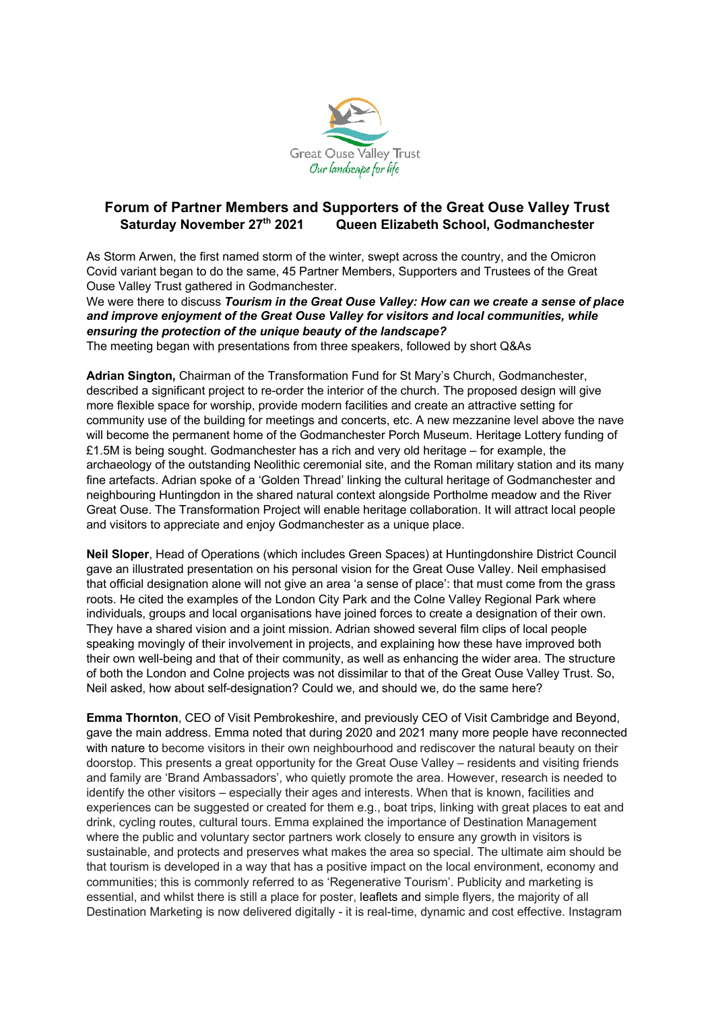

## **Forum of Partner Members and Supporters of the Great Ouse Valley Trust Saturday November 27th 2021 Queen Elizabeth School, Godmanchester**

As Storm Arwen, the first named storm of the winter, swept across the country, and the Omicron Covid variant began to do the same, 45 Partner Members, Supporters and Trustees of the Great Ouse Valley Trust gathered in Godmanchester.

We were there to discuss *Tourism in the Great Ouse Valley: How can we create a sense of place and improve enjoyment of the Great Ouse Valley for visitors and local communities, while ensuring the protection of the unique beauty of the landscape?*

The meeting began with presentations from three speakers, followed by short Q&As

**Adrian Sington,** Chairman of the Transformation Fund for St Mary's Church, Godmanchester, described a significant project to re-order the interior of the church. The proposed design will give more flexible space for worship, provide modern facilities and create an attractive setting for community use of the building for meetings and concerts, etc. A new mezzanine level above the nave will become the permanent home of the Godmanchester Porch Museum. Heritage Lottery funding of £1.5M is being sought. Godmanchester has a rich and very old heritage – for example, the archaeology of the outstanding Neolithic ceremonial site, and the Roman military station and its many fine artefacts. Adrian spoke of a 'Golden Thread' linking the cultural heritage of Godmanchester and neighbouring Huntingdon in the shared natural context alongside Portholme meadow and the River Great Ouse. The Transformation Project will enable heritage collaboration. It will attract local people and visitors to appreciate and enjoy Godmanchester as a unique place.

**Neil Sloper**, Head of Operations (which includes Green Spaces) at Huntingdonshire District Council gave an illustrated presentation on his personal vision for the Great Ouse Valley. Neil emphasised that official designation alone will not give an area 'a sense of place': that must come from the grass roots. He cited the examples of the London City Park and the Colne Valley Regional Park where individuals, groups and local organisations have joined forces to create a designation of their own. They have a shared vision and a joint mission. Adrian showed several film clips of local people speaking movingly of their involvement in projects, and explaining how these have improved both their own well-being and that of their community, as well as enhancing the wider area. The structure of both the London and Colne projects was not dissimilar to that of the Great Ouse Valley Trust. So, Neil asked, how about self-designation? Could we, and should we, do the same here?

**Emma Thornton**, CEO of Visit Pembrokeshire, and previously CEO of Visit Cambridge and Beyond, gave the main address. Emma noted that during 2020 and 2021 many more people have reconnected with nature to become visitors in their own neighbourhood and rediscover the natural beauty on their doorstop. This presents a great opportunity for the Great Ouse Valley – residents and visiting friends and family are 'Brand Ambassadors', who quietly promote the area. However, research is needed to identify the other visitors – especially their ages and interests. When that is known, facilities and experiences can be suggested or created for them e.g., boat trips, linking with great places to eat and drink, cycling routes, cultural tours. Emma explained the importance of Destination Management where the public and voluntary sector partners work closely to ensure any growth in visitors is sustainable, and protects and preserves what makes the area so special. The ultimate aim should be that tourism is developed in a way that has a positive impact on the local environment, economy and communities; this is commonly referred to as 'Regenerative Tourism'. Publicity and marketing is essential, and whilst there is still a place for poster, leaflets and simple flyers, the majority of all Destination Marketing is now delivered digitally - it is real-time, dynamic and cost effective. Instagram